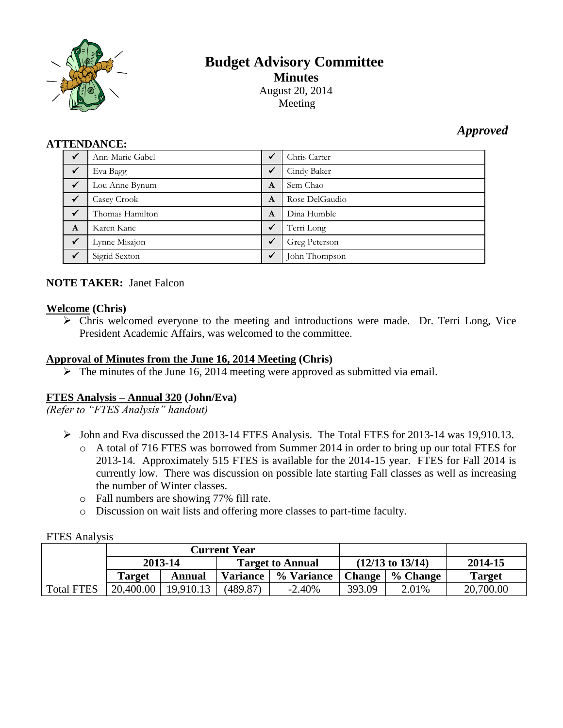

# **Budget Advisory Committee Minutes** August 20, 2014

Meeting

## **ATTENDANCE:**

*Approved*

|              | Ann-Marie Gabel |   | Chris Carter   |
|--------------|-----------------|---|----------------|
| $\checkmark$ | Eva Bagg        | ✔ | Cindy Baker    |
|              | Lou Anne Bynum  | A | Sem Chao       |
| $\checkmark$ | Casey Crook     | A | Rose DelGaudio |
| ✓            | Thomas Hamilton | A | Dina Humble    |
| A            | Karen Kane      | ✔ | Terri Long     |
| ✓            | Lynne Misajon   | ✔ | Greg Peterson  |
|              | Sigrid Sexton   | ✔ | John Thompson  |

# **NOTE TAKER:** Janet Falcon

## **Welcome (Chris)**

 $\triangleright$  Chris welcomed everyone to the meeting and introductions were made. Dr. Terri Long, Vice President Academic Affairs, was welcomed to the committee.

## **Approval of Minutes from the June 16, 2014 Meeting (Chris)**

 $\triangleright$  The minutes of the June 16, 2014 meeting were approved as submitted via email.

# **FTES Analysis – Annual 320 (John/Eva)**

*(Refer to "FTES Analysis" handout)*

- John and Eva discussed the 2013-14 FTES Analysis. The Total FTES for 2013-14 was 19,910.13.
	- o A total of 716 FTES was borrowed from Summer 2014 in order to bring up our total FTES for 2013-14. Approximately 515 FTES is available for the 2014-15 year. FTES for Fall 2014 is currently low. There was discussion on possible late starting Fall classes as well as increasing the number of Winter classes.
	- o Fall numbers are showing 77% fill rate.
	- o Discussion on wait lists and offering more classes to part-time faculty.

| TILD ATTAINS      |                     |               |                         |            |                             |          |               |  |
|-------------------|---------------------|---------------|-------------------------|------------|-----------------------------|----------|---------------|--|
|                   | <b>Current Year</b> |               |                         |            |                             |          |               |  |
|                   | 2013-14             |               | <b>Target to Annual</b> |            | $(12/13 \text{ to } 13/14)$ |          | 2014-15       |  |
|                   | <b>Target</b>       | <b>Annual</b> | Variance                | % Variance | Change                      | % Change | <b>Target</b> |  |
| <b>Total FTES</b> | 20,400.00           | 19,910.13     | (489.87)                | $-2.40%$   | 393.09                      | 2.01%    | 20,700.00     |  |

## FTES Analysis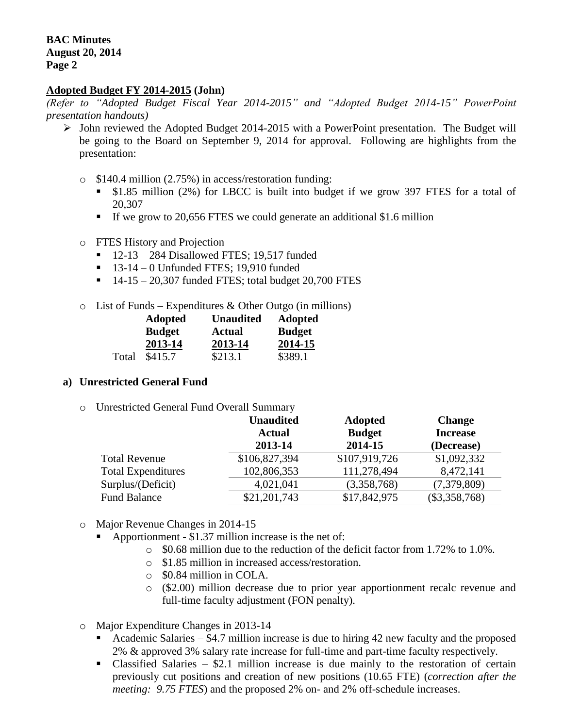#### **Adopted Budget FY 2014-2015 (John)**

*(Refer to "Adopted Budget Fiscal Year 2014-2015" and "Adopted Budget 2014-15" PowerPoint presentation handouts)*

- $\triangleright$  John reviewed the Adopted Budget 2014-2015 with a PowerPoint presentation. The Budget will be going to the Board on September 9, 2014 for approval. Following are highlights from the presentation:
	- o \$140.4 million (2.75%) in access/restoration funding:
		- \$1.85 million (2%) for LBCC is built into budget if we grow 397 FTES for a total of 20,307
		- If we grow to 20,656 FTES we could generate an additional \$1.6 million
	- o FTES History and Projection
		- $\blacksquare$  12-13 284 Disallowed FTES; 19,517 funded
		- $\blacksquare$  13-14 0 Unfunded FTES; 19,910 funded
		- $14-15-20,307$  funded FTES; total budget 20,700 FTES
	- $\circ$  List of Funds Expenditures & Other Outgo (in millions)

|       | <b>Adopted</b> | <b>Unaudited</b> | Adopted       |  |
|-------|----------------|------------------|---------------|--|
|       | <b>Budget</b>  | <b>Actual</b>    | <b>Budget</b> |  |
|       | 2013-14        | 2013-14          | 2014-15       |  |
| Total | \$415.7        | \$213.1          | \$389.1       |  |

## **a) Unrestricted General Fund**

o Unrestricted General Fund Overall Summary

|                           | <b>Unaudited</b><br><b>Actual</b><br>2013-14 | <b>Adopted</b><br><b>Budget</b><br>2014-15 | <b>Change</b><br><b>Increase</b><br>(Decrease) |
|---------------------------|----------------------------------------------|--------------------------------------------|------------------------------------------------|
| <b>Total Revenue</b>      | \$106,827,394                                | \$107,919,726                              | \$1,092,332                                    |
| <b>Total Expenditures</b> | 102,806,353                                  | 111,278,494                                | 8,472,141                                      |
| Surplus/(Deficit)         | 4,021,041                                    | (3,358,768)                                | (7,379,809)                                    |
| <b>Fund Balance</b>       | \$21,201,743                                 | \$17,842,975                               | $(\$3,358,768)$                                |

- o Major Revenue Changes in 2014-15
	- Apportionment \$1.37 million increase is the net of:
		- $\circ$  \$0.68 million due to the reduction of the deficit factor from 1.72% to 1.0%.
		- o \$1.85 million in increased access/restoration.
		- o \$0.84 million in COLA.
		- o (\$2.00) million decrease due to prior year apportionment recalc revenue and full-time faculty adjustment (FON penalty).
- o Major Expenditure Changes in 2013-14
	- Academic Salaries \$4.7 million increase is due to hiring 42 new faculty and the proposed 2% & approved 3% salary rate increase for full-time and part-time faculty respectively.
	- Classified Salaries \$2.1 million increase is due mainly to the restoration of certain previously cut positions and creation of new positions (10.65 FTE) (*correction after the meeting: 9.75 FTES*) and the proposed 2% on- and 2% off-schedule increases.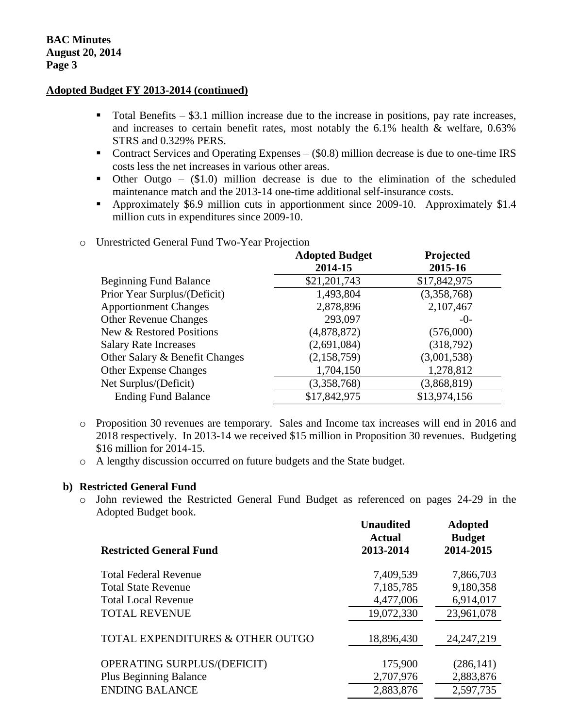#### **Adopted Budget FY 2013-2014 (continued)**

- $\blacksquare$  Total Benefits \$3.1 million increase due to the increase in positions, pay rate increases, and increases to certain benefit rates, most notably the 6.1% health & welfare, 0.63% STRS and 0.329% PERS.
- Contract Services and Operating Expenses (\$0.8) million decrease is due to one-time IRS costs less the net increases in various other areas.
- Other Outgo  $(\$1.0)$  million decrease is due to the elimination of the scheduled maintenance match and the 2013-14 one-time additional self-insurance costs.
- Approximately \$6.9 million cuts in apportionment since 2009-10. Approximately \$1.4 million cuts in expenditures since 2009-10.

|                                | <b>Adopted Budget</b><br>2014-15 | Projected<br>2015-16 |
|--------------------------------|----------------------------------|----------------------|
| <b>Beginning Fund Balance</b>  | \$21,201,743                     | \$17,842,975         |
| Prior Year Surplus/(Deficit)   | 1,493,804                        | (3,358,768)          |
| <b>Apportionment Changes</b>   | 2,878,896                        | 2,107,467            |
| <b>Other Revenue Changes</b>   | 293,097                          | $-0-$                |
| New & Restored Positions       | (4,878,872)                      | (576,000)            |
| <b>Salary Rate Increases</b>   | (2,691,084)                      | (318,792)            |
| Other Salary & Benefit Changes | (2,158,759)                      | (3,001,538)          |
| <b>Other Expense Changes</b>   | 1,704,150                        | 1,278,812            |
| Net Surplus/(Deficit)          | (3,358,768)                      | (3,868,819)          |
| <b>Ending Fund Balance</b>     | \$17,842,975                     | \$13,974,156         |

#### o Unrestricted General Fund Two-Year Projection

- o Proposition 30 revenues are temporary. Sales and Income tax increases will end in 2016 and 2018 respectively. In 2013-14 we received \$15 million in Proposition 30 revenues. Budgeting \$16 million for 2014-15.
- o A lengthy discussion occurred on future budgets and the State budget.

#### **b) Restricted General Fund**

o John reviewed the Restricted General Fund Budget as referenced on pages 24-29 in the Adopted Budget book.

| <b>Restricted General Fund</b>     | <b>Unaudited</b><br>Actual<br>2013-2014 | <b>Adopted</b><br><b>Budget</b><br>2014-2015 |
|------------------------------------|-----------------------------------------|----------------------------------------------|
| <b>Total Federal Revenue</b>       | 7,409,539                               | 7,866,703                                    |
| <b>Total State Revenue</b>         | 7,185,785                               | 9,180,358                                    |
| <b>Total Local Revenue</b>         | 4,477,006                               | 6,914,017                                    |
| <b>TOTAL REVENUE</b>               | 19,072,330                              | 23,961,078                                   |
| TOTAL EXPENDITURES & OTHER OUTGO   | 18,896,430                              | 24, 247, 219                                 |
| <b>OPERATING SURPLUS/(DEFICIT)</b> | 175,900                                 | (286, 141)                                   |
| <b>Plus Beginning Balance</b>      | 2,707,976                               | 2,883,876                                    |
| <b>ENDING BALANCE</b>              | 2,883,876                               | 2,597,735                                    |